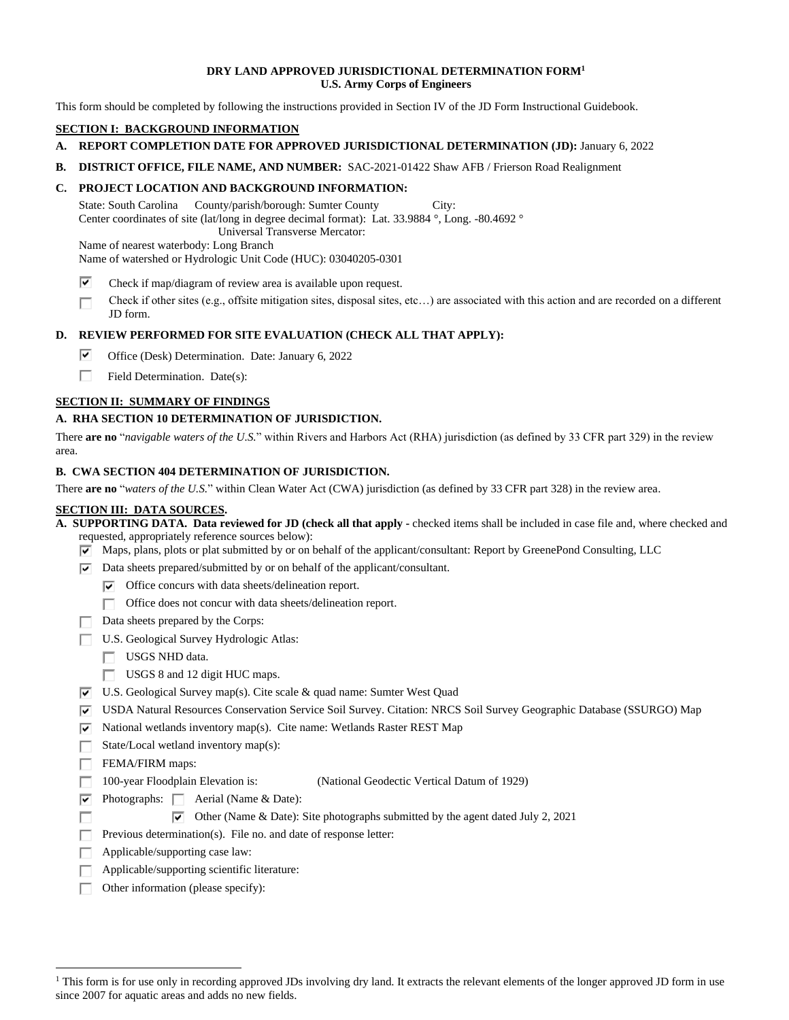### **DRY LAND APPROVED JURISDICTIONAL DETERMINATION FORM1 U.S. Army Corps of Engineers**

This form should be completed by following the instructions provided in Section IV of the JD Form Instructional Guidebook.

# **SECTION I: BACKGROUND INFORMATION**

- **A. REPORT COMPLETION DATE FOR APPROVED JURISDICTIONAL DETERMINATION (JD):** January 6, 2022
- **B. DISTRICT OFFICE, FILE NAME, AND NUMBER:** SAC-2021-01422 Shaw AFB / Frierson Road Realignment

# **C. PROJECT LOCATION AND BACKGROUND INFORMATION:**

State: South Carolina County/parish/borough: Sumter County City: Center coordinates of site (lat/long in degree decimal format): Lat. 33.9884 °, Long. -80.4692 ° Universal Transverse Mercator:

 Name of nearest waterbody: Long Branch Name of watershed or Hydrologic Unit Code (HUC): 03040205-0301

- $\overline{\mathbf{v}}$ Check if map/diagram of review area is available upon request.
- Check if other sites (e.g., offsite mitigation sites, disposal sites, etc…) are associated with this action and are recorded on a different п JD form.

# **D. REVIEW PERFORMED FOR SITE EVALUATION (CHECK ALL THAT APPLY):**

- Office (Desk) Determination. Date: January 6, 2022  $\overline{\blacktriangledown}$
- П. Field Determination. Date(s):

# **SECTION II: SUMMARY OF FINDINGS**

### **A. RHA SECTION 10 DETERMINATION OF JURISDICTION.**

 There **are no** "*navigable waters of the U.S.*" within Rivers and Harbors Act (RHA) jurisdiction (as defined by 33 CFR part 329) in the review area.

#### **B. CWA SECTION 404 DETERMINATION OF JURISDICTION.**

 There **are no** "*waters of the U.S.*" within Clean Water Act (CWA) jurisdiction (as defined by 33 CFR part 328) in the review area.

#### **SECTION III: DATA SOURCES.**

 **A. SUPPORTING DATA. Data reviewed for JD (check all that apply -** checked items shall be included in case file and, where checked and requested, appropriately reference sources below):

- $\triangledown$  Maps, plans, plots or plat submitted by or on behalf of the applicant/consultant: Report by GreenePond Consulting, LLC
- $\triangledown$  Data sheets prepared/submitted by or on behalf of the applicant/consultant.
	- $\triangledown$  Office concurs with data sheets/delineation report.
		- Office does not concur with data sheets/delineation report. п.
- Data sheets prepared by the Corps:
- U.S. Geological Survey Hydrologic Atlas:
	- USGS NHD data.
	- USGS 8 and 12 digit HUC maps.
- $\triangledown$  U.S. Geological Survey map(s). Cite scale & quad name: Sumter West Quad
- [a USDA Natural Resources Conservation Service Soil Survey. Citation: NRCS Soil Survey Geographic Database (SSURGO) Map
- $\nabla$  National wetlands inventory map(s). Cite name: Wetlands Raster REST Map
	- State/Local wetland inventory map(s):

FEMA/FIRM maps:

г

- П. 100-year Floodplain Elevation is: (National Geodectic Vertical Datum of 1929)
- $\triangleright$  Photographs:  $\square$  Aerial (Name & Date):
	- $\triangledown$  Other (Name & Date): Site photographs submitted by the agent dated July 2, 2021
	- П. Previous determination(s). File no. and date of response letter:
	- Applicable/supporting case law: П.
	- Applicable/supporting scientific literature:
	- П. Other information (please specify):

<sup>&</sup>lt;sup>1</sup> This form is for use only in recording approved JDs involving dry land. It extracts the relevant elements of the longer approved JD form in use since 2007 for aquatic areas and adds no new fields.